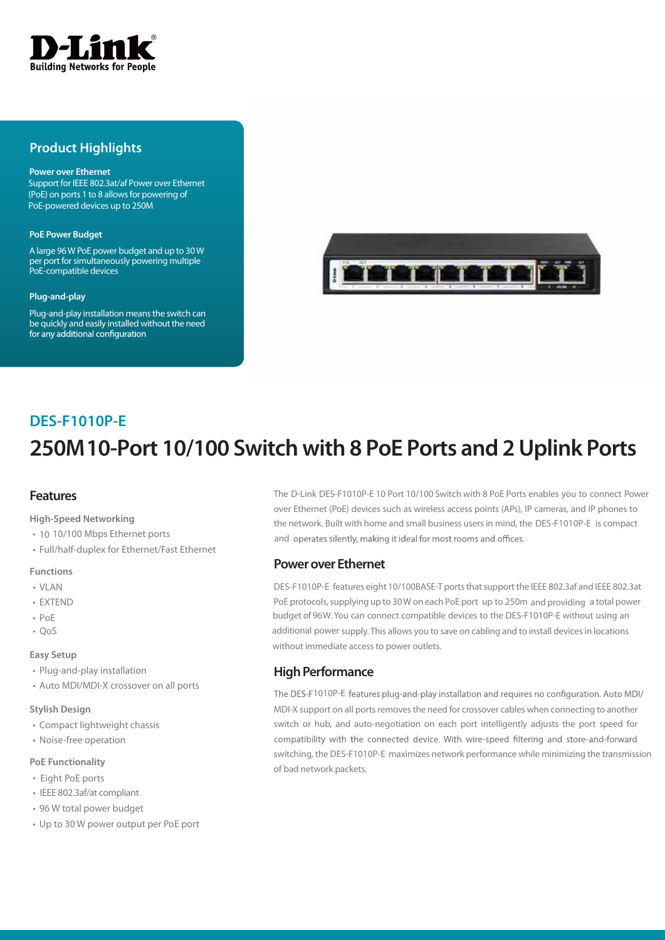

# **Product Highlights**

#### **Power over Ethernet**

Support for IEEE 802.3at/af Power over Ethernet (PoE) on ports 1 to 8 allows for powering of PoE-powered devices up to 250M

#### **PoE Power Budget**

A large 96W PoE power budget and up to 30W per port for simultaneously powering multiple PoE-compatible devices

#### **Plug-and-play**

Plug-and-play installation means the switch can be quickly and easily installed without the need<br>for any additional configuration



# **250M 10-Port 10/100 Switch with 8 PoE Ports and 2 Uplink Ports DES-F1010P-E**

# **Features**

**High-Speed Networking**

- 10 10/100 Mbps Ethernet ports
- Full/half-duplex for Ethernet/Fast Ethernet

#### **Functions**

- VLAN
- EXTEND
- PoE
- $\cdot$  Oos

#### **Easy Setup**

- Plug-and-play installation
- Auto MDI/MDI-X crossover on all ports

#### **Stylish Design**

- Compact lightweight chassis
- Noise-free operation

#### **PoE Functionality**

- Eight PoE ports
- IEEE 802.3af/at compliant
- 96 W total power budget
- Up to 30 W power output per PoE port

The D-Link DES-F1010P-E 10 Port 10/100 Switch with 8 PoE Ports enables you to connect Power over Ethernet (PoE) devices such as wireless access points (APs), IP cameras, and IP phones to the network. Built with home and small business users in mind, the DES-F1010P-E is compact and operates silently, making it ideal for most rooms and offices.

### **Power over Ethernet**

DES-F1010P-E features eight 10/100BASE-T ports that support the IEEE 802.3af and IEEE 802.3at PoE protocols, supplying up to 30 W on each PoE port up to 250m and providing a total power budget of 96W. You can connect compatible devices to the DES-F1010P-E without using an additional power supply. This allows you to save on cabling and to install devices in locations without immediate access to power outlets.

# **High Performance**

The DES-F1010P-E features plug-and-play installation and requires no configuration. Auto MDI/ MDI-X support on all ports removes the need for crossover cables when connecting to another switch or hub, and auto-negotiation on each port intelligently adjusts the port speed for compatibility with the connected device. With wire-speed filtering and store-and-forward switching, the DES-F1010P-E maximizes network performance while minimizing the transmission of bad network packets.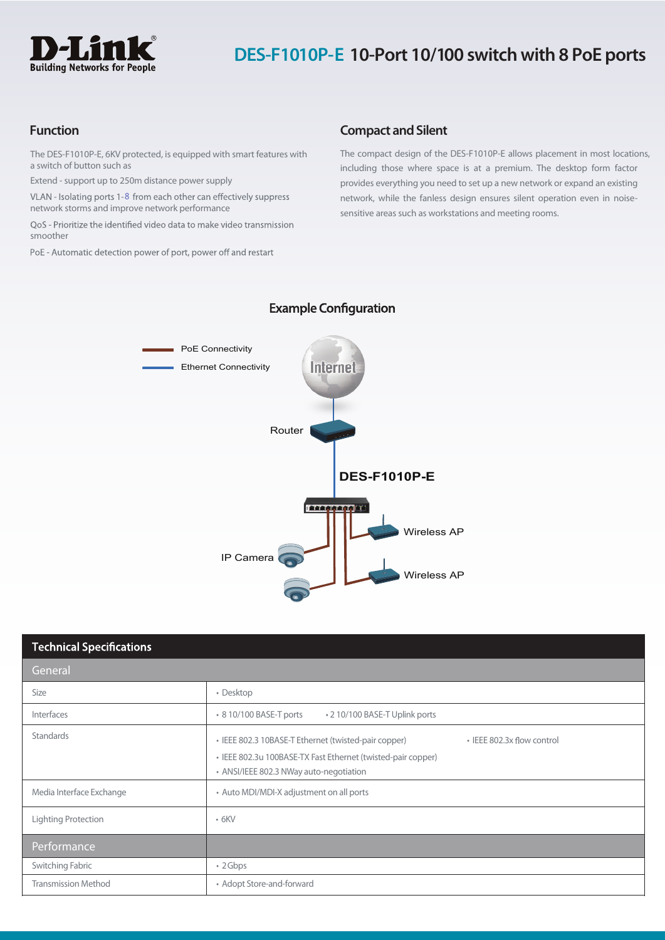

# **DES-F1010P-E 10-Port 10/100 switch with 8 PoE ports**

The DES-F1010P-E, 6KV protected, is equipped with smart features with a switch of button such as

Extend - support up to 250m distance power supply

network storms and improve network performance VLAN - Isolating ports 1-8 from each other can effectively suppress

QoS - Prioritize the identified video data to make video transmission smoother

PoE - Automatic detection power of port, power off and restart

## **Function Compact** and Silent

The compact design of the DES-F1010P-E allows placement in most locations, including those where space is at a premium. The desktop form factor provides everything you need to set up a new network or expand an existing network, while the fanless design ensures silent operation even in noisesensitive areas such as workstations and meeting rooms.



# **Example Configuration**

| <b>Technical Specifications</b> |                                                                                                                                                                                               |  |
|---------------------------------|-----------------------------------------------------------------------------------------------------------------------------------------------------------------------------------------------|--|
| General                         |                                                                                                                                                                                               |  |
| Size                            | • Desktop                                                                                                                                                                                     |  |
| Interfaces                      | • 8 10/100 BASE-T ports<br>• 2 10/100 BASE-T Uplink ports                                                                                                                                     |  |
| Standards                       | • IEEE 802.3x flow control<br>• IEEE 802.3 10BASE-T Ethernet (twisted-pair copper)<br>• IEEE 802.3u 100BASE-TX Fast Ethernet (twisted-pair copper)<br>• ANSI/IEEE 802.3 NWay auto-negotiation |  |
| Media Interface Exchange        | • Auto MDI/MDI-X adjustment on all ports                                                                                                                                                      |  |
| Lighting Protection             | $\cdot$ 6KV                                                                                                                                                                                   |  |
| Performance                     |                                                                                                                                                                                               |  |
| Switching Fabric                | $\cdot$ 2 Gbps                                                                                                                                                                                |  |
| <b>Transmission Method</b>      | • Adopt Store-and-forward                                                                                                                                                                     |  |